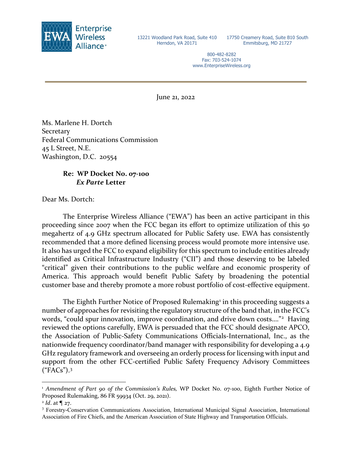

13221 Woodland Park Road, Suite 410 Herndon, VA 20171

17750 Creamery Road, Suite B10 South Emmitsburg, MD 21727

800-482-8282 Fax: 703-524-1074 www.EnterpriseWireless.org

June 21, 2022

Ms. Marlene H. Dortch **Secretary** Federal Communications Commission 45 L Street, N.E. Washington, D.C. 20554

## **Re: WP Docket No. 07-100** *Ex Parte* **Letter**

Dear Ms. Dortch:

The Enterprise Wireless Alliance ("EWA") has been an active participant in this proceeding since 2007 when the FCC began its effort to optimize utilization of this 50 megahertz of 4.9 GHz spectrum allocated for Public Safety use. EWA has consistently recommended that a more defined licensing process would promote more intensive use. It also has urged the FCC to expand eligibility for this spectrum to include entities already identified as Critical Infrastructure Industry ("CII") and those deserving to be labeled "critical" given their contributions to the public welfare and economic prosperity of America. This approach would benefit Public Safety by broadening the potential customer base and thereby promote a more robust portfolio of cost-effective equipment.

The Eighth Further Notice of Proposed Rulemaking<sup>[1](#page-0-0)</sup> in this proceeding suggests a number of approaches for revisiting the regulatory structure of the band that, in the FCC's words, "could spur innovation, improve coordination, and drive down costs...."<sup>[2](#page-0-1)</sup> Having reviewed the options carefully, EWA is persuaded that the FCC should designate APCO, the Association of Public-Safety Communications Officials-International, Inc., as the nationwide frequency coordinator/band manager with responsibility for developing a 4.9 GHz regulatory framework and overseeing an orderly process for licensing with input and support from the other FCC-certified Public Safety Frequency Advisory Committees ("FACs"). [3](#page-0-2)

<span id="page-0-0"></span><sup>1</sup> *Amendment of Part 90 of the Commission's Rules,* WP Docket No. 07-100, Eighth Further Notice of Proposed Rulemaking, 86 FR 59934 (Oct. 29, 2021).

<span id="page-0-1"></span> $^{2}$  *Id.* at  $\P$  27.

<span id="page-0-2"></span><sup>3</sup> Forestry-Conservation Communications Association, International Municipal Signal Association, International Association of Fire Chiefs, and the American Association of State Highway and Transportation Officials.